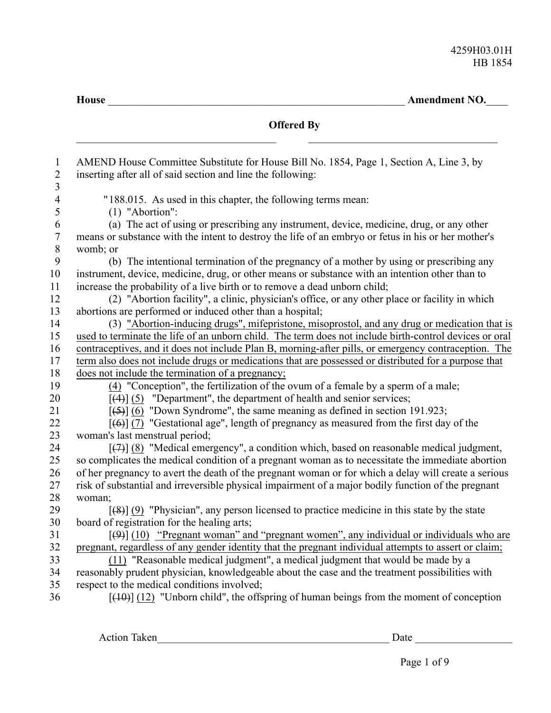**House** \_\_\_\_\_\_\_\_\_\_\_\_\_\_\_\_\_\_\_\_\_\_\_\_\_\_\_\_\_\_\_\_\_\_\_\_\_\_\_\_\_\_\_\_\_\_\_\_\_\_\_\_\_\_\_ **Amendment NO.**\_\_\_\_

|                                | <b>Offered By</b>                                                                                                                                                                                           |
|--------------------------------|-------------------------------------------------------------------------------------------------------------------------------------------------------------------------------------------------------------|
| $\mathbf{1}$<br>$\overline{2}$ | AMEND House Committee Substitute for House Bill No. 1854, Page 1, Section A, Line 3, by<br>inserting after all of said section and line the following:                                                      |
| 3<br>$\overline{\mathcal{A}}$  | "188.015. As used in this chapter, the following terms mean:                                                                                                                                                |
| 5                              | $(1)$ "Abortion":                                                                                                                                                                                           |
| 6                              | (a) The act of using or prescribing any instrument, device, medicine, drug, or any other                                                                                                                    |
| $\boldsymbol{7}$               | means or substance with the intent to destroy the life of an embryo or fetus in his or her mother's                                                                                                         |
| $\,8\,$                        | womb; or                                                                                                                                                                                                    |
| 9                              | (b) The intentional termination of the pregnancy of a mother by using or prescribing any                                                                                                                    |
| 10                             | instrument, device, medicine, drug, or other means or substance with an intention other than to                                                                                                             |
| 11                             | increase the probability of a live birth or to remove a dead unborn child;                                                                                                                                  |
| 12                             | (2) "Abortion facility", a clinic, physician's office, or any other place or facility in which                                                                                                              |
| 13                             | abortions are performed or induced other than a hospital;                                                                                                                                                   |
| 14                             | (3) "Abortion-inducing drugs", mifepristone, misoprostol, and any drug or medication that is                                                                                                                |
| 15                             | used to terminate the life of an unborn child. The term does not include birth-control devices or oral                                                                                                      |
| 16                             | contraceptives, and it does not include Plan B, morning-after pills, or emergency contraception. The                                                                                                        |
| 17                             | term also does not include drugs or medications that are possessed or distributed for a purpose that                                                                                                        |
| 18                             | does not include the termination of a pregnancy;                                                                                                                                                            |
| 19                             | (4) "Conception", the fertilization of the ovum of a female by a sperm of a male;                                                                                                                           |
| 20                             | $[(4)]$ (5) "Department", the department of health and senior services;                                                                                                                                     |
| 21                             | $[56]$ (6) "Down Syndrome", the same meaning as defined in section 191.923;                                                                                                                                 |
| 22                             | $[ (6) ]$ (7) "Gestational age", length of pregnancy as measured from the first day of the                                                                                                                  |
| 23                             | woman's last menstrual period;                                                                                                                                                                              |
| 24                             | $[\overline{(+)}]$ (8) "Medical emergency", a condition which, based on reasonable medical judgment,                                                                                                        |
| 25                             | so complicates the medical condition of a pregnant woman as to necessitate the immediate abortion                                                                                                           |
| 26<br>27                       | of her pregnancy to avert the death of the pregnant woman or for which a delay will create a serious<br>risk of substantial and irreversible physical impairment of a major bodily function of the pregnant |
| 28                             | woman;                                                                                                                                                                                                      |
| 29                             | $[48]$ (9) "Physician", any person licensed to practice medicine in this state by the state                                                                                                                 |
| 30                             | board of registration for the healing arts;                                                                                                                                                                 |
| 31                             | $[\frac{49}{10}]$ (10) "Pregnant woman" and "pregnant women", any individual or individuals who are                                                                                                         |
| 32                             | pregnant, regardless of any gender identity that the pregnant individual attempts to assert or claim;                                                                                                       |
| 33                             | (11) "Reasonable medical judgment", a medical judgment that would be made by a                                                                                                                              |
| 34                             | reasonably prudent physician, knowledgeable about the case and the treatment possibilities with                                                                                                             |
| 35                             | respect to the medical conditions involved;                                                                                                                                                                 |
| 36                             | $[40]$ (12) "Unborn child", the offspring of human beings from the moment of conception                                                                                                                     |

Action Taken\_\_\_\_\_\_\_\_\_\_\_\_\_\_\_\_\_\_\_\_\_\_\_\_\_\_\_\_\_\_\_\_\_\_\_\_\_\_\_\_\_\_\_ Date \_\_\_\_\_\_\_\_\_\_\_\_\_\_\_\_\_\_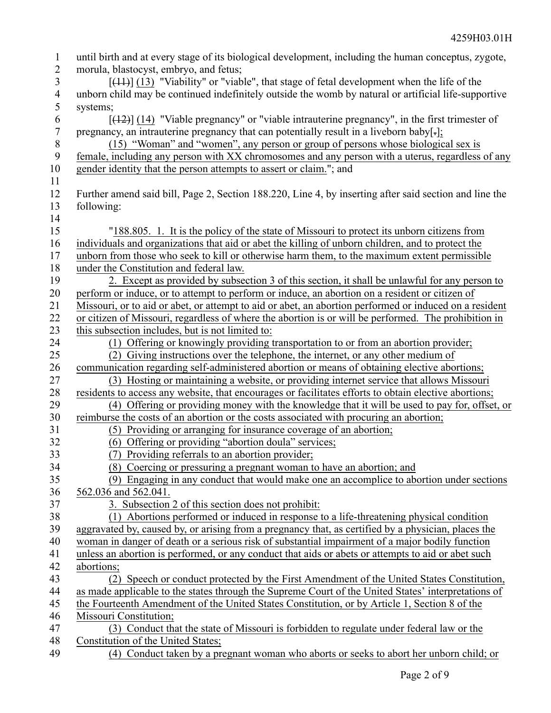| $\mathbf{1}$     | until birth and at every stage of its biological development, including the human conceptus, zygote,   |
|------------------|--------------------------------------------------------------------------------------------------------|
| $\overline{2}$   | morula, blastocyst, embryo, and fetus;                                                                 |
| 3                | $[44]$ (13) "Viability" or "viable", that stage of fetal development when the life of the              |
| $\overline{4}$   | unborn child may be continued indefinitely outside the womb by natural or artificial life-supportive   |
| 5                | systems;                                                                                               |
| 6                | $[$ (42)] (14) "Viable pregnancy" or "viable intrauterine pregnancy", in the first trimester of        |
| $\boldsymbol{7}$ | pregnancy, an intrauterine pregnancy that can potentially result in a liveborn baby $[\cdot]$ ;        |
| $8\,$            | (15) "Woman" and "women", any person or group of persons whose biological sex is                       |
| 9                | female, including any person with XX chromosomes and any person with a uterus, regardless of any       |
| 10               | gender identity that the person attempts to assert or claim."; and                                     |
| 11               |                                                                                                        |
| 12               | Further amend said bill, Page 2, Section 188.220, Line 4, by inserting after said section and line the |
| 13               | following:                                                                                             |
| 14               |                                                                                                        |
| 15               | "188.805. 1. It is the policy of the state of Missouri to protect its unborn citizens from             |
| 16               | individuals and organizations that aid or abet the killing of unborn children, and to protect the      |
| 17               | unborn from those who seek to kill or otherwise harm them, to the maximum extent permissible           |
| 18               | under the Constitution and federal law.                                                                |
| 19               | 2. Except as provided by subsection 3 of this section, it shall be unlawful for any person to          |
| 20               | perform or induce, or to attempt to perform or induce, an abortion on a resident or citizen of         |
| 21               | Missouri, or to aid or abet, or attempt to aid or abet, an abortion performed or induced on a resident |
| 22               | or citizen of Missouri, regardless of where the abortion is or will be performed. The prohibition in   |
| 23               | this subsection includes, but is not limited to:                                                       |
| 24               | (1) Offering or knowingly providing transportation to or from an abortion provider;                    |
| 25               | (2) Giving instructions over the telephone, the internet, or any other medium of                       |
| 26               | communication regarding self-administered abortion or means of obtaining elective abortions;           |
| 27               | (3) Hosting or maintaining a website, or providing internet service that allows Missouri               |
| 28               | residents to access any website, that encourages or facilitates efforts to obtain elective abortions;  |
| 29               | (4) Offering or providing money with the knowledge that it will be used to pay for, offset, or         |
| 30               | reimburse the costs of an abortion or the costs associated with procuring an abortion;                 |
| 31               | (5) Providing or arranging for insurance coverage of an abortion;                                      |
| 32               | (6) Offering or providing "abortion doula" services;                                                   |
| 33               | (7) Providing referrals to an abortion provider;                                                       |
| 34               | (8) Coercing or pressuring a pregnant woman to have an abortion; and                                   |
| 35               | (9) Engaging in any conduct that would make one an accomplice to abortion under sections               |
| 36               | 562.036 and 562.041.                                                                                   |
| 37               | 3. Subsection 2 of this section does not prohibit:                                                     |
| 38               | (1) Abortions performed or induced in response to a life-threatening physical condition                |
| 39               | aggravated by, caused by, or arising from a pregnancy that, as certified by a physician, places the    |
| 40               | woman in danger of death or a serious risk of substantial impairment of a major bodily function        |
| 41               | unless an abortion is performed, or any conduct that aids or abets or attempts to aid or abet such     |
| 42               | abortions;                                                                                             |
| 43               | (2) Speech or conduct protected by the First Amendment of the United States Constitution,              |
| 44               | as made applicable to the states through the Supreme Court of the United States' interpretations of    |
| 45               | the Fourteenth Amendment of the United States Constitution, or by Article 1, Section 8 of the          |
| 46               | Missouri Constitution;                                                                                 |
| 47               | (3) Conduct that the state of Missouri is forbidden to regulate under federal law or the               |
| 48               | Constitution of the United States;                                                                     |
| 49               | (4) Conduct taken by a pregnant woman who aborts or seeks to abort her unborn child; or                |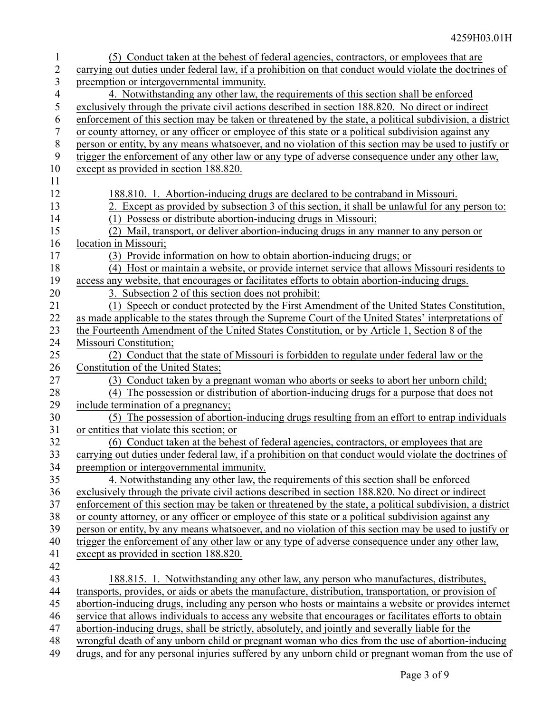| 1              | (5) Conduct taken at the behest of federal agencies, contractors, or employees that are                  |
|----------------|----------------------------------------------------------------------------------------------------------|
| 2              | carrying out duties under federal law, if a prohibition on that conduct would violate the doctrines of   |
| 3              | preemption or intergovernmental immunity.                                                                |
| $\overline{4}$ | 4. Notwithstanding any other law, the requirements of this section shall be enforced                     |
| 5              | exclusively through the private civil actions described in section 188.820. No direct or indirect        |
| 6              | enforcement of this section may be taken or threatened by the state, a political subdivision, a district |
| 7              | or county attorney, or any officer or employee of this state or a political subdivision against any      |
| $\,$ $\,$      | person or entity, by any means whatsoever, and no violation of this section may be used to justify or    |
| 9              | trigger the enforcement of any other law or any type of adverse consequence under any other law,         |
| 10             | except as provided in section 188.820.                                                                   |
| 11             |                                                                                                          |
| 12             | 188.810. 1. Abortion-inducing drugs are declared to be contraband in Missouri.                           |
| 13             | 2. Except as provided by subsection 3 of this section, it shall be unlawful for any person to:           |
| 14             | (1) Possess or distribute abortion-inducing drugs in Missouri;                                           |
| 15             | (2) Mail, transport, or deliver abortion-inducing drugs in any manner to any person or                   |
| 16             | location in Missouri;                                                                                    |
| 17             | (3) Provide information on how to obtain abortion-inducing drugs; or                                     |
| 18             | (4) Host or maintain a website, or provide internet service that allows Missouri residents to            |
| 19             | access any website, that encourages or facilitates efforts to obtain abortion-inducing drugs.            |
| 20             | 3. Subsection 2 of this section does not prohibit:                                                       |
| 21             | (1) Speech or conduct protected by the First Amendment of the United States Constitution,                |
| 22             | as made applicable to the states through the Supreme Court of the United States' interpretations of      |
| 23             | the Fourteenth Amendment of the United States Constitution, or by Article 1, Section 8 of the            |
| 24             | Missouri Constitution;                                                                                   |
| 25             | (2) Conduct that the state of Missouri is forbidden to regulate under federal law or the                 |
| 26             | Constitution of the United States;                                                                       |
| 27             | (3) Conduct taken by a pregnant woman who aborts or seeks to abort her unborn child;                     |
| 28             | (4) The possession or distribution of abortion-inducing drugs for a purpose that does not                |
| 29             | include termination of a pregnancy;                                                                      |
| 30             | (5) The possession of abortion-inducing drugs resulting from an effort to entrap individuals             |
| 31             | or entities that violate this section; or                                                                |
| 32             | (6) Conduct taken at the behest of federal agencies, contractors, or employees that are                  |
| 33             | carrying out duties under federal law, if a prohibition on that conduct would violate the doctrines of   |
| 34             | preemption or intergovernmental immunity.                                                                |
| 35             | 4. Notwithstanding any other law, the requirements of this section shall be enforced                     |
| 36             | exclusively through the private civil actions described in section 188.820. No direct or indirect        |
| 37             | enforcement of this section may be taken or threatened by the state, a political subdivision, a district |
| 38             | or county attorney, or any officer or employee of this state or a political subdivision against any      |
| 39             | person or entity, by any means whatsoever, and no violation of this section may be used to justify or    |
| 40             | trigger the enforcement of any other law or any type of adverse consequence under any other law,         |
| 41             | except as provided in section 188.820.                                                                   |
| 42             |                                                                                                          |
| 43             | 188.815. 1. Notwithstanding any other law, any person who manufactures, distributes,                     |
| 44             | transports, provides, or aids or abets the manufacture, distribution, transportation, or provision of    |
| 45             | abortion-inducing drugs, including any person who hosts or maintains a website or provides internet      |
| 46             | service that allows individuals to access any website that encourages or facilitates efforts to obtain   |
| 47             | abortion-inducing drugs, shall be strictly, absolutely, and jointly and severally liable for the         |
| 48             | wrongful death of any unborn child or pregnant woman who dies from the use of abortion-inducing          |
| 49             | drugs, and for any personal injuries suffered by any unborn child or pregnant woman from the use of      |
|                |                                                                                                          |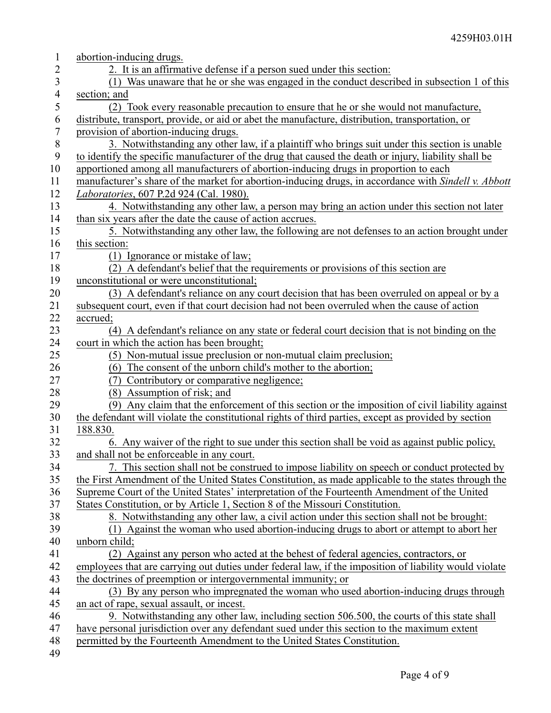| $\mathbf{1}$     | abortion-inducing drugs.                                                                               |
|------------------|--------------------------------------------------------------------------------------------------------|
| $\overline{2}$   | 2. It is an affirmative defense if a person sued under this section:                                   |
| 3                | (1) Was unaware that he or she was engaged in the conduct described in subsection 1 of this            |
| $\overline{4}$   | section; and                                                                                           |
| 5                | (2) Took every reasonable precaution to ensure that he or she would not manufacture,                   |
| 6                | distribute, transport, provide, or aid or abet the manufacture, distribution, transportation, or       |
| $\boldsymbol{7}$ | provision of abortion-inducing drugs.                                                                  |
| $\,$ $\,$        | 3. Notwithstanding any other law, if a plaintiff who brings suit under this section is unable          |
| $\boldsymbol{9}$ | to identify the specific manufacturer of the drug that caused the death or injury, liability shall be  |
| 10               | apportioned among all manufacturers of abortion-inducing drugs in proportion to each                   |
| 11               | manufacturer's share of the market for abortion-inducing drugs, in accordance with Sindell v. Abbott   |
| 12               | Laboratories, 607 P.2d 924 (Cal. 1980).                                                                |
| 13               | 4. Notwithstanding any other law, a person may bring an action under this section not later            |
| 14               | than six years after the date the cause of action accrues.                                             |
| 15               | 5. Notwithstanding any other law, the following are not defenses to an action brought under            |
| 16               | this section:                                                                                          |
| 17               | (1) Ignorance or mistake of law;                                                                       |
| 18               | (2) A defendant's belief that the requirements or provisions of this section are                       |
| 19               | unconstitutional or were unconstitutional;                                                             |
| 20               | (3) A defendant's reliance on any court decision that has been overruled on appeal or by a             |
| 21               | subsequent court, even if that court decision had not been overruled when the cause of action          |
| 22               | accrued;                                                                                               |
| 23               | (4) A defendant's reliance on any state or federal court decision that is not binding on the           |
| 24               | court in which the action has been brought;                                                            |
| 25               | (5) Non-mutual issue preclusion or non-mutual claim preclusion;                                        |
| 26               | (6) The consent of the unborn child's mother to the abortion;                                          |
| 27               | (7) Contributory or comparative negligence;                                                            |
| 28               | (8) Assumption of risk; and                                                                            |
| 29               | (9) Any claim that the enforcement of this section or the imposition of civil liability against        |
| 30               | the defendant will violate the constitutional rights of third parties, except as provided by section   |
| 31               | 188.830.                                                                                               |
| 32               | 6. Any waiver of the right to sue under this section shall be void as against public policy,           |
| 33               | and shall not be enforceable in any court.                                                             |
| 34               | 7. This section shall not be construed to impose liability on speech or conduct protected by           |
| 35               | the First Amendment of the United States Constitution, as made applicable to the states through the    |
| 36               | Supreme Court of the United States' interpretation of the Fourteenth Amendment of the United           |
| 37               | States Constitution, or by Article 1, Section 8 of the Missouri Constitution.                          |
| 38               | 8. Notwithstanding any other law, a civil action under this section shall not be brought:              |
| 39               | (1) Against the woman who used abortion-inducing drugs to abort or attempt to abort her                |
| 40               | unborn child;                                                                                          |
| 41               | (2) Against any person who acted at the behest of federal agencies, contractors, or                    |
| 42               | employees that are carrying out duties under federal law, if the imposition of liability would violate |
| 43               | the doctrines of preemption or intergovernmental immunity; or                                          |
| 44               | (3) By any person who impregnated the woman who used abortion-inducing drugs through                   |
| 45               | an act of rape, sexual assault, or incest.                                                             |
| 46               | 9. Notwithstanding any other law, including section 506.500, the courts of this state shall            |
| 47               | have personal jurisdiction over any defendant sued under this section to the maximum extent            |
| 48               | permitted by the Fourteenth Amendment to the United States Constitution.                               |
| 49               |                                                                                                        |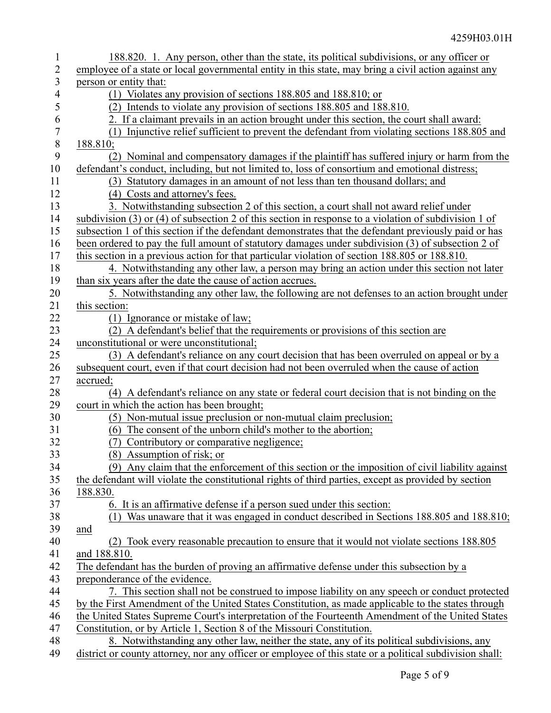| $\mathbf{1}$     | 188.820. 1. Any person, other than the state, its political subdivisions, or any officer or                          |
|------------------|----------------------------------------------------------------------------------------------------------------------|
| $\overline{2}$   | employee of a state or local governmental entity in this state, may bring a civil action against any                 |
| 3                | person or entity that:                                                                                               |
| 4                | (1) Violates any provision of sections 188.805 and 188.810; or                                                       |
| 5                | (2) Intends to violate any provision of sections 188.805 and 188.810.                                                |
| 6                | 2. If a claimant prevails in an action brought under this section, the court shall award:                            |
| $\boldsymbol{7}$ | Injunctive relief sufficient to prevent the defendant from violating sections 188.805 and<br>(1)                     |
| $8\,$            | 188.810;                                                                                                             |
| 9                | (2) Nominal and compensatory damages if the plaintiff has suffered injury or harm from the                           |
| 10               | defendant's conduct, including, but not limited to, loss of consortium and emotional distress;                       |
| 11               | (3) Statutory damages in an amount of not less than ten thousand dollars; and                                        |
| 12               | (4) Costs and attorney's fees.                                                                                       |
| 13               | 3. Notwithstanding subsection 2 of this section, a court shall not award relief under                                |
| 14               | subdivision $(3)$ or $(4)$ of subsection 2 of this section in response to a violation of subdivision 1 of            |
| 15               | subsection 1 of this section if the defendant demonstrates that the defendant previously paid or has                 |
| 16               | been ordered to pay the full amount of statutory damages under subdivision (3) of subsection 2 of                    |
| 17               | this section in a previous action for that particular violation of section 188.805 or 188.810.                       |
| 18               | 4. Notwithstanding any other law, a person may bring an action under this section not later                          |
| 19               | than six years after the date the cause of action accrues.                                                           |
| 20               | 5. Notwithstanding any other law, the following are not defenses to an action brought under                          |
| 21               | this section:                                                                                                        |
| 22<br>23         | (1) Ignorance or mistake of law;<br>(2) A defendant's belief that the requirements or provisions of this section are |
| 24               | unconstitutional or were unconstitutional;                                                                           |
| 25               | (3) A defendant's reliance on any court decision that has been overruled on appeal or by a                           |
| 26               | subsequent court, even if that court decision had not been overruled when the cause of action                        |
| 27               | accrued;                                                                                                             |
| $28\,$           | (4) A defendant's reliance on any state or federal court decision that is not binding on the                         |
| 29               | court in which the action has been brought;                                                                          |
| 30               | (5) Non-mutual issue preclusion or non-mutual claim preclusion;                                                      |
| 31               | (6) The consent of the unborn child's mother to the abortion;                                                        |
| 32               | (7) Contributory or comparative negligence;                                                                          |
| 33               | (8) Assumption of risk; or                                                                                           |
| 34               | (9) Any claim that the enforcement of this section or the imposition of civil liability against                      |
| 35               | the defendant will violate the constitutional rights of third parties, except as provided by section                 |
| 36               | 188.830.                                                                                                             |
| 37               | 6. It is an affirmative defense if a person sued under this section:                                                 |
| 38               | Was unaware that it was engaged in conduct described in Sections 188.805 and 188.810;<br>(1)                         |
| 39               | and                                                                                                                  |
| 40               | (2) Took every reasonable precaution to ensure that it would not violate sections 188.805                            |
| 41               | and 188.810.                                                                                                         |
| 42               | The defendant has the burden of proving an affirmative defense under this subsection by a                            |
| 43               | preponderance of the evidence.                                                                                       |
| 44               | 7. This section shall not be construed to impose liability on any speech or conduct protected                        |
| 45               | by the First Amendment of the United States Constitution, as made applicable to the states through                   |
| 46               | the United States Supreme Court's interpretation of the Fourteenth Amendment of the United States                    |
| 47               | Constitution, or by Article 1, Section 8 of the Missouri Constitution.                                               |
| 48               | 8. Notwithstanding any other law, neither the state, any of its political subdivisions, any                          |
| 49               | district or county attorney, nor any officer or employee of this state or a political subdivision shall:             |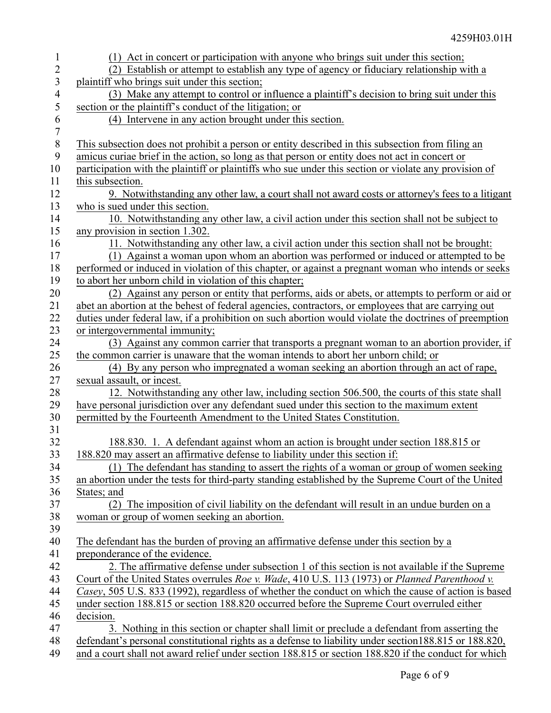| 1              | (1) Act in concert or participation with anyone who brings suit under this section;                                                                                                             |
|----------------|-------------------------------------------------------------------------------------------------------------------------------------------------------------------------------------------------|
| $\overline{2}$ | (2) Establish or attempt to establish any type of agency or fiduciary relationship with a                                                                                                       |
| 3              | plaintiff who brings suit under this section;                                                                                                                                                   |
| 4              | (3) Make any attempt to control or influence a plaintiff's decision to bring suit under this                                                                                                    |
| 5              | section or the plaintiff's conduct of the litigation; or                                                                                                                                        |
| 6              | (4) Intervene in any action brought under this section.                                                                                                                                         |
| $\tau$         |                                                                                                                                                                                                 |
| $\,8\,$        | This subsection does not prohibit a person or entity described in this subsection from filing an                                                                                                |
| 9              | amicus curiae brief in the action, so long as that person or entity does not act in concert or                                                                                                  |
| 10             | participation with the plaintiff or plaintiffs who sue under this section or violate any provision of                                                                                           |
| 11             | this subsection.                                                                                                                                                                                |
| 12             | 9. Notwithstanding any other law, a court shall not award costs or attorney's fees to a litigant                                                                                                |
| 13             | who is sued under this section.                                                                                                                                                                 |
| 14             | 10. Notwithstanding any other law, a civil action under this section shall not be subject to                                                                                                    |
| 15             | any provision in section 1.302.                                                                                                                                                                 |
| 16             | 11. Notwithstanding any other law, a civil action under this section shall not be brought:                                                                                                      |
| 17             | (1) Against a woman upon whom an abortion was performed or induced or attempted to be<br>performed or induced in violation of this chapter, or against a pregnant woman who intends or seeks    |
| 18<br>19       | to abort her unborn child in violation of this chapter;                                                                                                                                         |
| 20             | (2) Against any person or entity that performs, aids or abets, or attempts to perform or aid or                                                                                                 |
| 21             | abet an abortion at the behest of federal agencies, contractors, or employees that are carrying out                                                                                             |
| 22             | duties under federal law, if a prohibition on such abortion would violate the doctrines of preemption                                                                                           |
| 23             | or intergovernmental immunity;                                                                                                                                                                  |
| 24             | (3) Against any common carrier that transports a pregnant woman to an abortion provider, if                                                                                                     |
| 25             | the common carrier is unaware that the woman intends to abort her unborn child; or                                                                                                              |
| 26             | (4) By any person who impregnated a woman seeking an abortion through an act of rape,                                                                                                           |
| 27             | sexual assault, or incest.                                                                                                                                                                      |
| 28             | 12. Notwithstanding any other law, including section 506.500, the courts of this state shall                                                                                                    |
| 29             | have personal jurisdiction over any defendant sued under this section to the maximum extent                                                                                                     |
| 30             | permitted by the Fourteenth Amendment to the United States Constitution.                                                                                                                        |
| 31             |                                                                                                                                                                                                 |
| 32             | 188.830. 1. A defendant against whom an action is brought under section 188.815 or                                                                                                              |
| 33             | 188.820 may assert an affirmative defense to liability under this section if:                                                                                                                   |
| 34             | (1) The defendant has standing to assert the rights of a woman or group of women seeking                                                                                                        |
| 35             | an abortion under the tests for third-party standing established by the Supreme Court of the United                                                                                             |
| 36             | States; and                                                                                                                                                                                     |
| 37             | (2) The imposition of civil liability on the defendant will result in an undue burden on a                                                                                                      |
| 38             | woman or group of women seeking an abortion.                                                                                                                                                    |
| 39             |                                                                                                                                                                                                 |
| 40             | The defendant has the burden of proving an affirmative defense under this section by a                                                                                                          |
| 41             | preponderance of the evidence.                                                                                                                                                                  |
| 42<br>43       | 2. The affirmative defense under subsection 1 of this section is not available if the Supreme<br>Court of the United States overrules Roe v. Wade, 410 U.S. 113 (1973) or Planned Parenthood v. |
| 44             | Casey, 505 U.S. 833 (1992), regardless of whether the conduct on which the cause of action is based                                                                                             |
| 45             | under section 188.815 or section 188.820 occurred before the Supreme Court overruled either                                                                                                     |
| 46             | decision.                                                                                                                                                                                       |
| 47             | 3. Nothing in this section or chapter shall limit or preclude a defendant from asserting the                                                                                                    |
| 48             | defendant's personal constitutional rights as a defense to liability under section 188.815 or 188.820,                                                                                          |
| 49             | and a court shall not award relief under section 188.815 or section 188.820 if the conduct for which                                                                                            |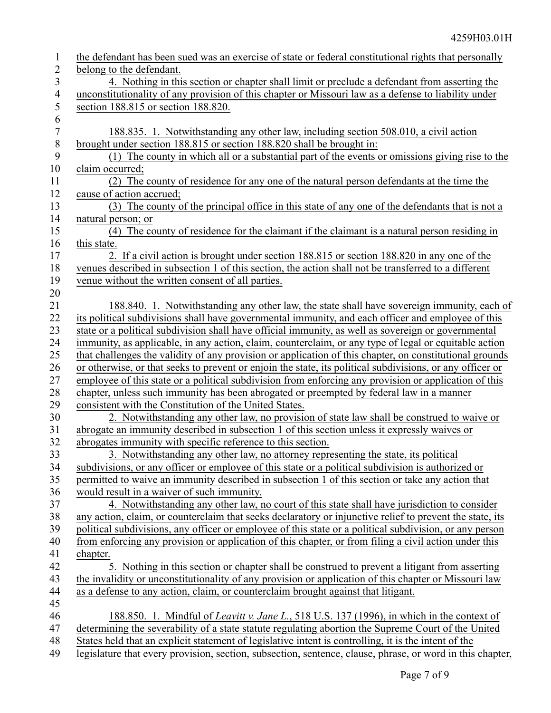| $\mathbf{1}$     | the defendant has been sued was an exercise of state or federal constitutional rights that personally     |
|------------------|-----------------------------------------------------------------------------------------------------------|
| $\overline{2}$   | belong to the defendant.                                                                                  |
| $\mathfrak{Z}$   | 4. Nothing in this section or chapter shall limit or preclude a defendant from asserting the              |
| $\overline{4}$   | unconstitutionality of any provision of this chapter or Missouri law as a defense to liability under      |
| $\mathfrak s$    | section 188.815 or section 188.820.                                                                       |
| 6                |                                                                                                           |
| $\boldsymbol{7}$ | 188.835. 1. Notwithstanding any other law, including section 508.010, a civil action                      |
| $\,8\,$          | brought under section 188.815 or section 188.820 shall be brought in:                                     |
| 9                | (1) The county in which all or a substantial part of the events or omissions giving rise to the           |
| 10               | claim occurred;                                                                                           |
| 11               | (2) The county of residence for any one of the natural person defendants at the time the                  |
| 12               | cause of action accrued;                                                                                  |
| 13               | (3) The county of the principal office in this state of any one of the defendants that is not a           |
| 14               | natural person; or                                                                                        |
| 15               | (4) The county of residence for the claimant if the claimant is a natural person residing in              |
| 16               | this state.                                                                                               |
| 17               | 2. If a civil action is brought under section 188.815 or section 188.820 in any one of the                |
| 18               | venues described in subsection 1 of this section, the action shall not be transferred to a different      |
| 19               | venue without the written consent of all parties.                                                         |
| 20               |                                                                                                           |
| 21               | 188.840. 1. Notwithstanding any other law, the state shall have sovereign immunity, each of               |
| 22               | its political subdivisions shall have governmental immunity, and each officer and employee of this        |
| 23               | state or a political subdivision shall have official immunity, as well as sovereign or governmental       |
| 24               | immunity, as applicable, in any action, claim, counterclaim, or any type of legal or equitable action     |
| 25               | that challenges the validity of any provision or application of this chapter, on constitutional grounds   |
| 26               | or otherwise, or that seeks to prevent or enjoin the state, its political subdivisions, or any officer or |
| 27               | employee of this state or a political subdivision from enforcing any provision or application of this     |
| 28               | chapter, unless such immunity has been abrogated or preempted by federal law in a manner                  |
| 29               | consistent with the Constitution of the United States.                                                    |
| 30               | 2. Notwithstanding any other law, no provision of state law shall be construed to waive or                |
| 31               | abrogate an immunity described in subsection 1 of this section unless it expressly waives or              |
| 32               | abrogates immunity with specific reference to this section.                                               |
| 33               | 3. Notwithstanding any other law, no attorney representing the state, its political                       |
| 34               | subdivisions, or any officer or employee of this state or a political subdivision is authorized or        |
| 35               | permitted to waive an immunity described in subsection 1 of this section or take any action that          |
| 36               | would result in a waiver of such immunity.                                                                |
| 37               | 4. Notwithstanding any other law, no court of this state shall have jurisdiction to consider              |
| 38               | any action, claim, or counterclaim that seeks declaratory or injunctive relief to prevent the state, its  |
| 39               | political subdivisions, any officer or employee of this state or a political subdivision, or any person   |
| 40               | from enforcing any provision or application of this chapter, or from filing a civil action under this     |
| 41               | chapter.                                                                                                  |
| 42               | 5. Nothing in this section or chapter shall be construed to prevent a litigant from asserting             |
| 43               | the invalidity or unconstitutionality of any provision or application of this chapter or Missouri law     |
| 44               | as a defense to any action, claim, or counterclaim brought against that litigant.                         |
| 45               |                                                                                                           |
| 46               | 188.850. 1. Mindful of Leavitt v. Jane L., 518 U.S. 137 (1996), in which in the context of                |
| 47               | determining the severability of a state statute regulating abortion the Supreme Court of the United       |
| 48               | States held that an explicit statement of legislative intent is controlling, it is the intent of the      |
| 49               | legislature that every provision, section, subsection, sentence, clause, phrase, or word in this chapter, |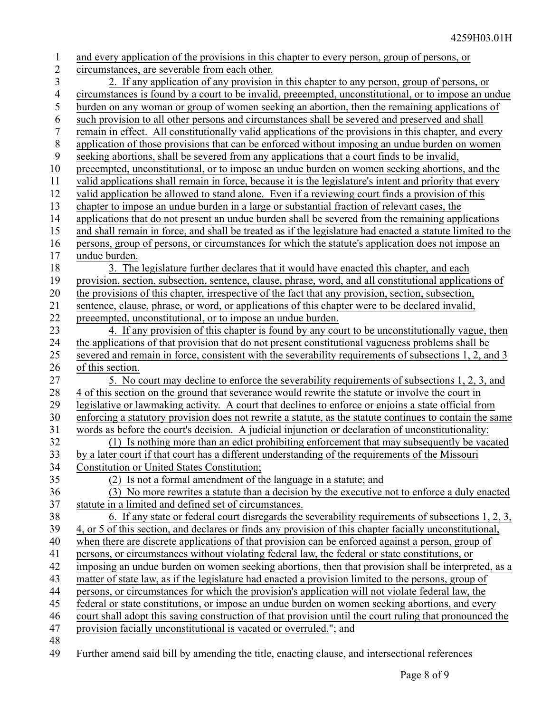| $\mathbf{1}$       | and every application of the provisions in this chapter to every person, group of persons, or                                                                                                        |
|--------------------|------------------------------------------------------------------------------------------------------------------------------------------------------------------------------------------------------|
| $\overline{2}$     | circumstances, are severable from each other.                                                                                                                                                        |
| 3                  | 2. If any application of any provision in this chapter to any person, group of persons, or                                                                                                           |
| $\overline{4}$     | circumstances is found by a court to be invalid, preeempted, unconstitutional, or to impose an undue                                                                                                 |
| 5                  | burden on any woman or group of women seeking an abortion, then the remaining applications of                                                                                                        |
| 6                  | such provision to all other persons and circumstances shall be severed and preserved and shall                                                                                                       |
| $\boldsymbol{7}$   | remain in effect. All constitutionally valid applications of the provisions in this chapter, and every                                                                                               |
| $\,8\,$            | application of those provisions that can be enforced without imposing an undue burden on women                                                                                                       |
| 9                  | seeking abortions, shall be severed from any applications that a court finds to be invalid,                                                                                                          |
| 10                 | preeempted, unconstitutional, or to impose an undue burden on women seeking abortions, and the                                                                                                       |
| 11                 | valid applications shall remain in force, because it is the legislature's intent and priority that every                                                                                             |
| 12                 | valid application be allowed to stand alone. Even if a reviewing court finds a provision of this                                                                                                     |
| 13                 | chapter to impose an undue burden in a large or substantial fraction of relevant cases, the                                                                                                          |
| 14                 | applications that do not present an undue burden shall be severed from the remaining applications                                                                                                    |
| 15                 | and shall remain in force, and shall be treated as if the legislature had enacted a statute limited to the                                                                                           |
| 16                 | persons, group of persons, or circumstances for which the statute's application does not impose an                                                                                                   |
| 17                 | undue burden.                                                                                                                                                                                        |
| 18                 | 3. The legislature further declares that it would have enacted this chapter, and each                                                                                                                |
| 19                 | provision, section, subsection, sentence, clause, phrase, word, and all constitutional applications of                                                                                               |
| 20                 | the provisions of this chapter, irrespective of the fact that any provision, section, subsection,                                                                                                    |
| 21                 | sentence, clause, phrase, or word, or applications of this chapter were to be declared invalid,                                                                                                      |
| 22                 | preeempted, unconstitutional, or to impose an undue burden.                                                                                                                                          |
| 23                 | 4. If any provision of this chapter is found by any court to be unconstitutionally vague, then                                                                                                       |
| 24                 | the applications of that provision that do not present constitutional vagueness problems shall be                                                                                                    |
| 25                 | severed and remain in force, consistent with the severability requirements of subsections 1, 2, and 3                                                                                                |
| 26                 | of this section.                                                                                                                                                                                     |
| 27                 | 5. No court may decline to enforce the severability requirements of subsections 1, 2, 3, and                                                                                                         |
| 28                 | 4 of this section on the ground that severance would rewrite the statute or involve the court in                                                                                                     |
| 29                 | legislative or lawmaking activity. A court that declines to enforce or enjoins a state official from                                                                                                 |
| 30                 | enforcing a statutory provision does not rewrite a statute, as the statute continues to contain the same                                                                                             |
| 31                 | words as before the court's decision. A judicial injunction or declaration of unconstitutionality:                                                                                                   |
| 32                 | (1) Is nothing more than an edict prohibiting enforcement that may subsequently be vacated                                                                                                           |
| 33                 | by a later court if that court has a different understanding of the requirements of the Missouri                                                                                                     |
| 34                 | <b>Constitution or United States Constitution;</b>                                                                                                                                                   |
| 35                 | (2) Is not a formal amendment of the language in a statute; and                                                                                                                                      |
| 36                 | (3) No more rewrites a statute than a decision by the executive not to enforce a duly enacted                                                                                                        |
| 37                 | statute in a limited and defined set of circumstances.                                                                                                                                               |
| 38                 | 6. If any state or federal court disregards the severability requirements of subsections 1, 2, 3,                                                                                                    |
| 39                 | 4, or 5 of this section, and declares or finds any provision of this chapter facially unconstitutional,                                                                                              |
| 40                 | when there are discrete applications of that provision can be enforced against a person, group of<br>persons, or circumstances without violating federal law, the federal or state constitutions, or |
| 41                 | imposing an undue burden on women seeking abortions, then that provision shall be interpreted, as a                                                                                                  |
| 42<br>43           | matter of state law, as if the legislature had enacted a provision limited to the persons, group of                                                                                                  |
| 44                 | persons, or circumstances for which the provision's application will not violate federal law, the                                                                                                    |
| 45                 | federal or state constitutions, or impose an undue burden on women seeking abortions, and every                                                                                                      |
| 46                 | court shall adopt this saving construction of that provision until the court ruling that pronounced the                                                                                              |
| 47                 | provision facially unconstitutional is vacated or overruled."; and                                                                                                                                   |
| 48                 |                                                                                                                                                                                                      |
| $\Lambda$ $\Omega$ | $\mathbf{A}^{\dagger} \mathbf{A}^{\dagger}$ , and $\mathbf{A}^{\dagger}$ , and $\mathbf{A}^{\dagger}$ , and $\mathbf{A}^{\dagger}$<br>dia ana amin'ny fivondronan-kaominin'i G                       |

Further amend said bill by amending the title, enacting clause, and intersectional references 49